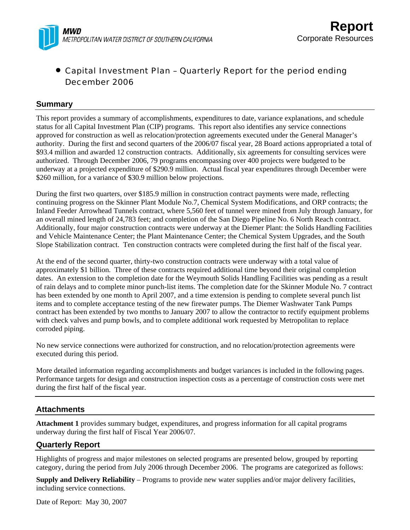

# • Capital Investment Plan – Quarterly Report for the period ending December 2006

### **Summary**

This report provides a summary of accomplishments, expenditures to date, variance explanations, and schedule status for all Capital Investment Plan (CIP) programs. This report also identifies any service connections approved for construction as well as relocation/protection agreements executed under the General Manager's authority. During the first and second quarters of the 2006/07 fiscal year, 28 Board actions appropriated a total of \$93.4 million and awarded 12 construction contracts. Additionally, six agreements for consulting services were authorized. Through December 2006, 79 programs encompassing over 400 projects were budgeted to be underway at a projected expenditure of \$290.9 million. Actual fiscal year expenditures through December were \$260 million, for a variance of \$30.9 million below projections.

During the first two quarters, over \$185.9 million in construction contract payments were made, reflecting continuing progress on the Skinner Plant Module No.7, Chemical System Modifications, and ORP contracts; the Inland Feeder Arrowhead Tunnels contract, where 5,560 feet of tunnel were mined from July through January, for an overall mined length of 24,783 feet; and completion of the San Diego Pipeline No. 6 North Reach contract. Additionally, four major construction contracts were underway at the Diemer Plant: the Solids Handling Facilities and Vehicle Maintenance Center; the Plant Maintenance Center; the Chemical System Upgrades, and the South Slope Stabilization contract. Ten construction contracts were completed during the first half of the fiscal year.

At the end of the second quarter, thirty-two construction contracts were underway with a total value of approximately \$1 billion. Three of these contracts required additional time beyond their original completion dates. An extension to the completion date for the Weymouth Solids Handling Facilities was pending as a result of rain delays and to complete minor punch-list items. The completion date for the Skinner Module No. 7 contract has been extended by one month to April 2007, and a time extension is pending to complete several punch list items and to complete acceptance testing of the new firewater pumps. The Diemer Washwater Tank Pumps contract has been extended by two months to January 2007 to allow the contractor to rectify equipment problems with check valves and pump bowls, and to complete additional work requested by Metropolitan to replace corroded piping.

No new service connections were authorized for construction, and no relocation/protection agreements were executed during this period.

More detailed information regarding accomplishments and budget variances is included in the following pages. Performance targets for design and construction inspection costs as a percentage of construction costs were met during the first half of the fiscal year.

# **Attachments**

**Attachment 1** provides summary budget, expenditures, and progress information for all capital programs underway during the first half of Fiscal Year 2006/07.

# **Quarterly Report**

Highlights of progress and major milestones on selected programs are presented below, grouped by reporting category, during the period from July 2006 through December 2006. The programs are categorized as follows:

**Supply and Delivery Reliability** – Programs to provide new water supplies and/or major delivery facilities, including service connections.

Date of Report: May 30, 2007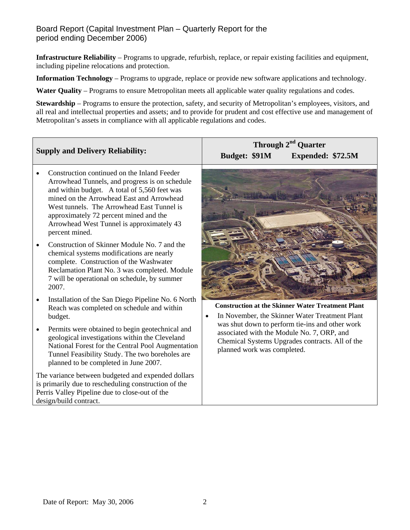# Board Report (Capital Investment Plan – Quarterly Report for the period ending December 2006)

**Infrastructure Reliability** – Programs to upgrade, refurbish, replace, or repair existing facilities and equipment, including pipeline relocations and protection.

**Information Technology** – Programs to upgrade, replace or provide new software applications and technology.

**Water Quality** – Programs to ensure Metropolitan meets all applicable water quality regulations and codes.

**Stewardship** – Programs to ensure the protection, safety, and security of Metropolitan's employees, visitors, and all real and intellectual properties and assets; and to provide for prudent and cost effective use and management of Metropolitan's assets in compliance with all applicable regulations and codes.

|                                                                                                                                                                                                                                                                                                                                                   | Through 2 <sup>nd</sup> Quarter                                                                                                                                                 |  |  |  |  |  |  |  |  |
|---------------------------------------------------------------------------------------------------------------------------------------------------------------------------------------------------------------------------------------------------------------------------------------------------------------------------------------------------|---------------------------------------------------------------------------------------------------------------------------------------------------------------------------------|--|--|--|--|--|--|--|--|
| <b>Supply and Delivery Reliability:</b>                                                                                                                                                                                                                                                                                                           | Budget: \$91M<br>Expended: \$72.5M                                                                                                                                              |  |  |  |  |  |  |  |  |
| Construction continued on the Inland Feeder<br>Arrowhead Tunnels, and progress is on schedule<br>and within budget. A total of 5,560 feet was<br>mined on the Arrowhead East and Arrowhead<br>West tunnels. The Arrowhead East Tunnel is<br>approximately 72 percent mined and the<br>Arrowhead West Tunnel is approximately 43<br>percent mined. |                                                                                                                                                                                 |  |  |  |  |  |  |  |  |
| Construction of Skinner Module No. 7 and the<br>chemical systems modifications are nearly<br>complete. Construction of the Washwater<br>Reclamation Plant No. 3 was completed. Module<br>7 will be operational on schedule, by summer<br>2007.                                                                                                    |                                                                                                                                                                                 |  |  |  |  |  |  |  |  |
| Installation of the San Diego Pipeline No. 6 North<br>$\bullet$<br>Reach was completed on schedule and within<br>budget.                                                                                                                                                                                                                          | <b>Construction at the Skinner Water Treatment Plant</b><br>In November, the Skinner Water Treatment Plant                                                                      |  |  |  |  |  |  |  |  |
| Permits were obtained to begin geotechnical and<br>٠<br>geological investigations within the Cleveland<br>National Forest for the Central Pool Augmentation<br>Tunnel Feasibility Study. The two boreholes are<br>planned to be completed in June 2007.                                                                                           | was shut down to perform tie-ins and other work<br>associated with the Module No. 7, ORP, and<br>Chemical Systems Upgrades contracts. All of the<br>planned work was completed. |  |  |  |  |  |  |  |  |
| The variance between budgeted and expended dollars<br>is primarily due to rescheduling construction of the<br>Perris Valley Pipeline due to close-out of the<br>design/build contract.                                                                                                                                                            |                                                                                                                                                                                 |  |  |  |  |  |  |  |  |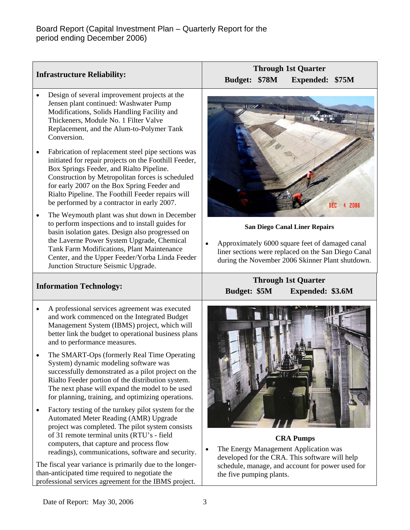| <b>Infrastructure Reliability:</b>                                                                                                                                                                                                                                                                                          | <b>Through 1st Quarter</b>                                                                                                                                 |  |  |  |  |  |  |  |
|-----------------------------------------------------------------------------------------------------------------------------------------------------------------------------------------------------------------------------------------------------------------------------------------------------------------------------|------------------------------------------------------------------------------------------------------------------------------------------------------------|--|--|--|--|--|--|--|
|                                                                                                                                                                                                                                                                                                                             | <b>Budget:</b><br><b>\$78M</b><br>Expended: \$75M                                                                                                          |  |  |  |  |  |  |  |
| Design of several improvement projects at the<br>$\bullet$<br>Jensen plant continued: Washwater Pump<br>Modifications, Solids Handling Facility and<br>Thickeners, Module No. 1 Filter Valve<br>Replacement, and the Alum-to-Polymer Tank<br>Conversion.<br>Fabrication of replacement steel pipe sections was<br>$\bullet$ |                                                                                                                                                            |  |  |  |  |  |  |  |
| initiated for repair projects on the Foothill Feeder,<br>Box Springs Feeder, and Rialto Pipeline.<br>Construction by Metropolitan forces is scheduled<br>for early 2007 on the Box Spring Feeder and<br>Rialto Pipeline. The Foothill Feeder repairs will<br>be performed by a contractor in early 2007.                    | DEC<br>2006                                                                                                                                                |  |  |  |  |  |  |  |
| The Weymouth plant was shut down in December<br>$\bullet$<br>to perform inspections and to install guides for<br>basin isolation gates. Design also progressed on                                                                                                                                                           | <b>San Diego Canal Liner Repairs</b>                                                                                                                       |  |  |  |  |  |  |  |
| the Laverne Power System Upgrade, Chemical<br>Tank Farm Modifications, Plant Maintenance<br>Center, and the Upper Feeder/Yorba Linda Feeder<br>Junction Structure Seismic Upgrade.                                                                                                                                          | Approximately 6000 square feet of damaged canal<br>liner sections were replaced on the San Diego Canal<br>during the November 2006 Skinner Plant shutdown. |  |  |  |  |  |  |  |
| <b>Information Technology:</b>                                                                                                                                                                                                                                                                                              | <b>Through 1st Quarter</b><br><b>Budget: \$5M</b><br>Expended: \$3.6M                                                                                      |  |  |  |  |  |  |  |
| A professional services agreement was executed<br>$\bullet$<br>and work commenced on the Integrated Budget                                                                                                                                                                                                                  |                                                                                                                                                            |  |  |  |  |  |  |  |
| Management System (IBMS) project, which will<br>better link the budget to operational business plans<br>and to performance measures.                                                                                                                                                                                        |                                                                                                                                                            |  |  |  |  |  |  |  |
| The SMART-Ops (formerly Real Time Operating<br>System) dynamic modeling software was<br>successfully demonstrated as a pilot project on the<br>Rialto Feeder portion of the distribution system.<br>The next phase will expand the model to be used<br>for planning, training, and optimizing operations.                   |                                                                                                                                                            |  |  |  |  |  |  |  |
| Factory testing of the turnkey pilot system for the<br>$\bullet$<br>Automated Meter Reading (AMR) Upgrade<br>project was completed. The pilot system consists                                                                                                                                                               |                                                                                                                                                            |  |  |  |  |  |  |  |
| of 31 remote terminal units (RTU's - field                                                                                                                                                                                                                                                                                  | <b>CRA Pumps</b>                                                                                                                                           |  |  |  |  |  |  |  |
| computers, that capture and process flow<br>readings), communications, software and security.                                                                                                                                                                                                                               | The Energy Management Application was<br>developed for the CRA. This software will help                                                                    |  |  |  |  |  |  |  |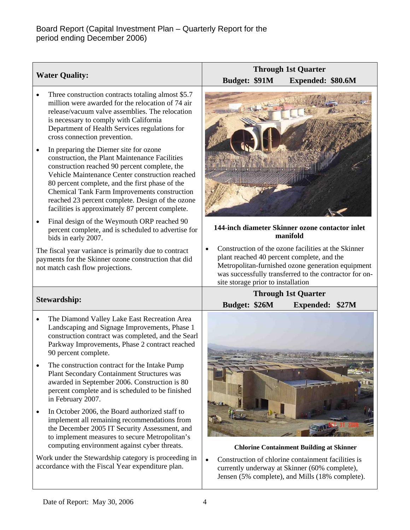| <b>Water Quality:</b>                                                                                                                                                                                                                                                                                                                                                                                                | <b>Through 1st Quarter</b><br>Budget: \$91M<br>Expended: \$80.6M                                                                                                                                                                                                    |  |  |  |  |  |  |
|----------------------------------------------------------------------------------------------------------------------------------------------------------------------------------------------------------------------------------------------------------------------------------------------------------------------------------------------------------------------------------------------------------------------|---------------------------------------------------------------------------------------------------------------------------------------------------------------------------------------------------------------------------------------------------------------------|--|--|--|--|--|--|
| Three construction contracts totaling almost \$5.7<br>$\bullet$<br>million were awarded for the relocation of 74 air<br>release/vacuum valve assemblies. The relocation<br>is necessary to comply with California<br>Department of Health Services regulations for<br>cross connection prevention.                                                                                                                   |                                                                                                                                                                                                                                                                     |  |  |  |  |  |  |
| In preparing the Diemer site for ozone<br>$\bullet$<br>construction, the Plant Maintenance Facilities<br>construction reached 90 percent complete, the<br>Vehicle Maintenance Center construction reached<br>80 percent complete, and the first phase of the<br>Chemical Tank Farm Improvements construction<br>reached 23 percent complete. Design of the ozone<br>facilities is approximately 87 percent complete. |                                                                                                                                                                                                                                                                     |  |  |  |  |  |  |
| Final design of the Weymouth ORP reached 90<br>$\bullet$<br>percent complete, and is scheduled to advertise for<br>bids in early 2007.                                                                                                                                                                                                                                                                               | 144-inch diameter Skinner ozone contactor inlet<br>manifold                                                                                                                                                                                                         |  |  |  |  |  |  |
| The fiscal year variance is primarily due to contract<br>payments for the Skinner ozone construction that did<br>not match cash flow projections.                                                                                                                                                                                                                                                                    | Construction of the ozone facilities at the Skinner<br>$\bullet$<br>plant reached 40 percent complete, and the<br>Metropolitan-furnished ozone generation equipment<br>was successfully transferred to the contractor for on-<br>site storage prior to installation |  |  |  |  |  |  |
| <b>Stewardship:</b>                                                                                                                                                                                                                                                                                                                                                                                                  | <b>Through 1st Quarter</b><br>Budget: \$26M<br>Expended: \$27M                                                                                                                                                                                                      |  |  |  |  |  |  |
| The Diamond Valley Lake East Recreation Area<br>$\bullet$<br>Landscaping and Signage Improvements, Phase 1<br>construction contract was completed, and the Searl<br>Parkway Improvements, Phase 2 contract reached<br>90 percent complete.<br>The construction contract for the Intake Pump<br><b>Plant Secondary Containment Structures was</b><br>awarded in September 2006. Construction is 80                    |                                                                                                                                                                                                                                                                     |  |  |  |  |  |  |
| percent complete and is scheduled to be finished<br>in February 2007.<br>In October 2006, the Board authorized staff to<br>implement all remaining recommendations from<br>the December 2005 IT Security Assessment, and<br>to implement measures to secure Metropolitan's                                                                                                                                           |                                                                                                                                                                                                                                                                     |  |  |  |  |  |  |
| computing environment against cyber threats.<br>Work under the Stewardship category is proceeding in<br>accordance with the Fiscal Year expenditure plan.                                                                                                                                                                                                                                                            | <b>Chlorine Containment Building at Skinner</b><br>Construction of chlorine containment facilities is<br>$\bullet$<br>currently underway at Skinner (60% complete),<br>Jensen (5% complete), and Mills (18% complete).                                              |  |  |  |  |  |  |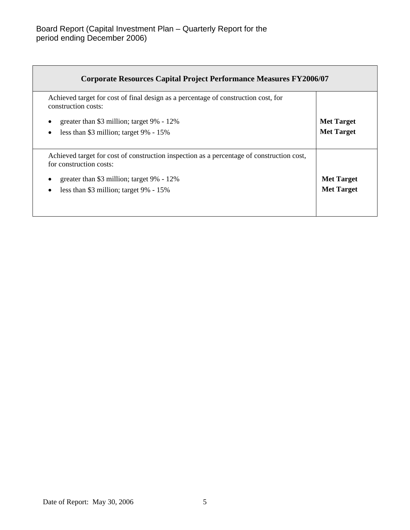| <b>Corporate Resources Capital Project Performance Measures FY2006/07</b>                                            |                   |
|----------------------------------------------------------------------------------------------------------------------|-------------------|
| Achieved target for cost of final design as a percentage of construction cost, for<br>construction costs:            |                   |
| greater than \$3 million; target 9% - 12%                                                                            | <b>Met Target</b> |
| less than \$3 million; target $9\% - 15\%$                                                                           | <b>Met Target</b> |
| Achieved target for cost of construction inspection as a percentage of construction cost,<br>for construction costs: |                   |
| greater than \$3 million; target 9% - 12%                                                                            | <b>Met Target</b> |
| less than \$3 million; target $9\% - 15\%$                                                                           | <b>Met Target</b> |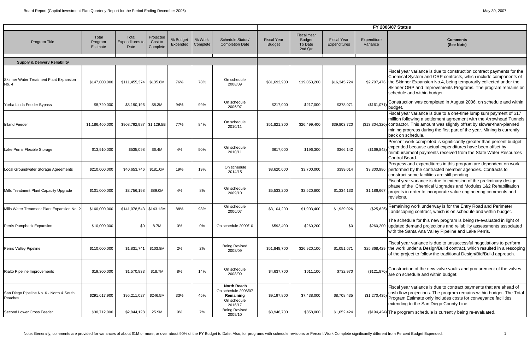Fiscal year variance is due to construction contract payments for the Chemical System and ORP contracts, which include components of the Skinner Expansion No.4, being temporarily collected under the Skinner ORP and Improvements Programs. The program remains on schedule and within budget.

Construction was completed in August 2006, on schedule and within budget.

Progress and expenditures in this program are dependent on work performed by the contracted member agencies. Contracts to construct some facilities are still pending.

Fiscal year variance is due to a one-time lump sum payment of \$17 million following a settlement agreement with the Arrowhead Tunnels contractor. This amount was slightly offset by slower-than-planned mining progress during the first part of the year. Mining is currently back on schedule.

Percent work completed is significantly greater than percent budget expended because actual expenditures have been offset by reimbursement payments received from the State Water Resources Control Board.

|                                                     |                              |                                  |                                  |                      |                    |                                                                                  |                                     |                                                           |                                    | <b>FY 200</b>           |
|-----------------------------------------------------|------------------------------|----------------------------------|----------------------------------|----------------------|--------------------|----------------------------------------------------------------------------------|-------------------------------------|-----------------------------------------------------------|------------------------------------|-------------------------|
| Program Title                                       | Total<br>Program<br>Estimate | Total<br>Expenditures to<br>Date | Projected<br>Cost to<br>Complete | % Budget<br>Expended | % Work<br>Complete | Schedule Status/<br><b>Completion Date</b>                                       | <b>Fiscal Year</b><br><b>Budget</b> | <b>Fiscal Year</b><br><b>Budget</b><br>To Date<br>2nd Qtr | <b>Fiscal Year</b><br>Expenditures | Expenditure<br>Variance |
| <b>Supply &amp; Delivery Reliability</b>            |                              |                                  |                                  |                      |                    |                                                                                  |                                     |                                                           |                                    |                         |
| Skinner Water Treatment Plant Expansion<br>No. 4    | \$147,000,000                | \$111,455,374                    | \$135.8M                         | 76%                  | 78%                | On schedule<br>2008/09                                                           | \$31,692,900                        | \$19,053,200                                              | \$16,345,724                       | \$2,707,476             |
| Yorba Linda Feeder Bypass                           | \$8,720,000                  | \$8,190,196                      | \$8.3M                           | 94%                  | 99%                | On schedule<br>2006/07                                                           | \$217,000                           | \$217,000                                                 | \$378,071                          | (\$161,071)             |
| <b>Inland Feeder</b>                                | \$1,186,460,000              | \$908,792,987 \$1,129.5B         |                                  | 77%                  | 84%                | On schedule<br>2010/11                                                           | \$51,821,300                        | \$26,499,400                                              | \$39,803,720                       | (\$13,304,320)          |
| Lake Perris Flexible Storage                        | \$13,910,000                 | \$535,098                        | \$6.4M                           | 4%                   | 50%                | On schedule<br>2010/11                                                           | \$617,000                           | \$196,300                                                 | \$366,142                          | (\$169, 842)            |
| Local Groundwater Storage Agreements                | \$210,000,000                | \$40,653,746                     | \$181.0M                         | 19%                  | 19%                | On schedule<br>2014/15                                                           | \$8,620,000                         | \$3,700,000                                               | \$399,014                          | \$3,300,986             |
| Mills Treatment Plant Capacity Upgrade              | \$101,000,000                | \$3,756,198                      | \$89.0M                          | 4%                   | 8%                 | On schedule<br>2009/10                                                           | \$5,533,200                         | \$2,520,800                                               | \$1,334,133                        | \$1,186,667             |
| Mills Water Treatment Plant Expansion No. 2         | \$160,000,000                | $$141,078,543$ $$143.12M$        |                                  | 88%                  | 98%                | On schedule<br>2006/07                                                           | \$3,104,200                         | \$1,903,400                                               | \$1,929,026                        | (\$25,626)              |
| Perris Pumpback Expansion                           | \$10,000,000                 | \$0                              | 8.7M                             | 0%                   | $0\%$              | On schedule 2009/10                                                              | \$592,400                           | \$260,200                                                 | \$0                                | \$260,200               |
| Perris Valley Pipeline                              | \$110,000,000                | \$1,831,741                      | \$103.8M                         | 2%                   | 2%                 | <b>Being Revised</b><br>2008/09                                                  | \$51,848,700                        | \$26,920,100                                              | \$1,051,671                        | \$25,868,429            |
| Rialto Pipeline Improvements                        | \$19,300,000                 | \$1,570,833                      | \$18.7M                          | 8%                   | 14%                | On schedule<br>2008/09                                                           | \$4,637,700                         | \$611,100                                                 | \$732,970                          | (\$121, 870)            |
| San Diego Pipeline No. 6 - North & South<br>Reaches | \$291,617,900                | \$95,211,027                     | \$246.5M                         | 33%                  | 45%                | <b>North Reach</b><br>On schedule 2006/07<br>Remaining<br>On schedule<br>2016/17 | \$9,197,800                         | \$7,438,000                                               | \$8,708,435                        | (\$1,270,435)           |
| Second Lower Cross Feeder                           | \$30,712,000                 | \$2,844,128                      | 25.9M                            | $9\%$                | 7%                 | <b>Being Revised</b><br>2009/10                                                  | \$3,946,700                         | \$858,000                                                 | \$1,052,424                        | (\$194, 424)            |

### **6/07 Status**

Fiscal year variance is due to extension of the preliminary design phase of the Chemical Upgrades and Modules 1&2 Rehabilitation projects in order to incorporate value engineering comments and revisions.

Remaining work underway is for the Entry Road and Perimeter<br>Landscaping contract, which is on schedule and within budget.

The schedule for this new program is being re-evaluated in light of updated demand projections and reliability assessments associated with the Santa Ana Valley Pipeline and Lake Perris.

Fiscal year variance is due to unsuccessful negotiations to perform<br>the work under a Design/Build contract, which resulted in a rescoping<br>of the project to follow the traditional Design/Bid/Build approach.

Construction of the new valve vaults and procurement of the valves are on schedule and within budget.

Fiscal year variance is due to contract payments that are ahead of cash flow projections. The program remains within budget. The Total Program Estimate only includes costs for conveyance facilities extending to the San Diego County Line.

The program schedule is currently being re-evaluated.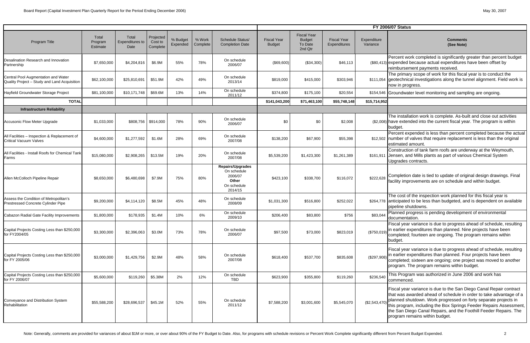# **FY 2006/07 Status**

|                                                                                     |                              |                                         |                                  |                      |                    |                                                                                      |                                     |                                                           |                                    |                         | <b>FY 2006/07 Status</b>                                                                                                                                                                                                                                                                                                                                                                |
|-------------------------------------------------------------------------------------|------------------------------|-----------------------------------------|----------------------------------|----------------------|--------------------|--------------------------------------------------------------------------------------|-------------------------------------|-----------------------------------------------------------|------------------------------------|-------------------------|-----------------------------------------------------------------------------------------------------------------------------------------------------------------------------------------------------------------------------------------------------------------------------------------------------------------------------------------------------------------------------------------|
| Program Title                                                                       | Total<br>Program<br>Estimate | Total<br><b>Expenditures to</b><br>Date | Projected<br>Cost to<br>Complete | % Budget<br>Expended | % Work<br>Complete | Schedule Status/<br><b>Completion Date</b>                                           | <b>Fiscal Year</b><br><b>Budget</b> | <b>Fiscal Year</b><br><b>Budget</b><br>To Date<br>2nd Qtr | <b>Fiscal Year</b><br>Expenditures | Expenditure<br>Variance | Comments<br>(See Note)                                                                                                                                                                                                                                                                                                                                                                  |
| Desalination Research and Innovation<br>Partnership                                 | \$7,650,000                  | \$4,204,816                             | \$6.9M                           | 55%                  | 78%                | On schedule<br>2006/07                                                               | (\$69,600)                          | (\$34,300)                                                | \$46,113                           |                         | Percent work completed is significantly greater than percent budget<br>(\$80,413) expended because actual expenditures have been offset by<br>reimbursement payments received.                                                                                                                                                                                                          |
| Central Pool Augmentation and Water<br>Quality Project - Study and Land Acquisition | \$62,100,000                 | \$25,810,691                            | \$51.9M                          | 42%                  | 49%                | On schedule<br>2013/14                                                               | \$819,000                           | \$415,000                                                 | \$303,946                          |                         | The primary scope of work for this fiscal year is to conduct the<br>\$111,054 geotechnical investigations along the tunnel alignment. Field work is<br>now in progress.                                                                                                                                                                                                                 |
| Hayfield Groundwater Storage Project                                                | \$81,100,000                 | \$10,171,748                            | \$69.6M                          | 13%                  | 14%                | On schedule<br>2011/12                                                               | \$374,800                           | \$175,100                                                 | \$20,554                           |                         | \$154,546 Groundwater level monitoring and sampling are ongoing.                                                                                                                                                                                                                                                                                                                        |
| <b>TOTAL</b>                                                                        |                              |                                         |                                  |                      |                    |                                                                                      | \$141,043,200                       | \$71,463,100                                              | \$55,748,148                       | \$15,714,952            |                                                                                                                                                                                                                                                                                                                                                                                         |
| <b>Infrastructure Reliability</b>                                                   |                              |                                         |                                  |                      |                    |                                                                                      |                                     |                                                           |                                    |                         |                                                                                                                                                                                                                                                                                                                                                                                         |
| <b>Accusonic Flow Meter Upgrade</b>                                                 | \$1,033,000                  | \$808,756                               | \$914,000                        | 78%                  | 90%                | On schedule<br>2006/07                                                               | \$0                                 | \$0                                                       | \$2,008                            |                         | The installation work is complete. As-built and close out activities<br>(\$2,008) have extended into the current fiscal year. The program is within<br>budget.                                                                                                                                                                                                                          |
| All Facilities - Inspection & Replacement of<br><b>Critical Vacuum Valves</b>       | \$4,600,000                  | \$1,277,592                             | \$1.6M                           | 28%                  | 69%                | On schedule<br>2007/08                                                               | \$138,200                           | \$67,900                                                  | \$55,398                           |                         | Percent expended is less than percent completed because the actual<br>\$12,502 number of valves that require replacement is less than the original<br>estimated amount                                                                                                                                                                                                                  |
| All Facilities - Install Roofs for Chemical Tank<br>Farms                           | \$15,080,000                 | \$2,908,265                             | \$13.5M                          | 19%                  | 20%                | On schedule<br>2007/08                                                               | \$5,539,200                         | \$1,423,300                                               | \$1,261,389                        |                         | Construction of tank farm roofs are underway at the Weymouth,<br>\$161,911 Jensen, and Mills plants as part of various Chemical System<br>Upgrades contracts.                                                                                                                                                                                                                           |
| Allen McColloch Pipeline Repair                                                     | \$8,650,000                  | \$6,480,698                             | \$7.9M                           | 75%                  | 80%                | <b>Repairs/Upgrades</b><br>On schedule<br>2006/07<br>Other<br>On schedule<br>2014/15 | \$423,100                           | \$338,700                                                 | \$116,072                          | \$222,628               | Completion date is tied to update of original design drawings. Final<br>facility improvements are on schedule and within budget.                                                                                                                                                                                                                                                        |
| Assess the Condition of Metropolitan's<br>Prestressed Concrete Cylinder Pipe        | \$9,200,000                  | \$4,114,120                             | \$8.5M                           | 45%                  | 48%                | On schedule<br>2008/09                                                               | \$1,031,300                         | \$516,800                                                 | \$252,022                          |                         | The cost of the inspection work planned for this fiscal year is<br>\$264,778 anticipated to be less than budgeted, and is dependent on available<br>pipeline shutdowns.                                                                                                                                                                                                                 |
| Cabazon Radial Gate Facility Improvements                                           | \$1,800,000                  | \$178,935                               | \$1.4M                           | 10%                  | 6%                 | On schedule<br>2009/10                                                               | \$206,400                           | \$83,800                                                  | \$756                              | \$83,044                | Planned progress is pending development of environmental<br>documentation.                                                                                                                                                                                                                                                                                                              |
| Capital Projects Costing Less than \$250,000<br>for FY2004/05                       | \$3,300,000                  | \$2,396,063                             | \$3.0M                           | 73%                  | 78%                | On schedule<br>2006/07                                                               | \$97,500                            | \$73,000                                                  | \$823,019                          |                         | Fiscal year variance is due to progress ahead of schedule, resulting<br>(\$750,019) in earlier expenditures than planned. Nine projects have been<br>completed; fourteen are ongoing. The program remains within<br>budget.                                                                                                                                                             |
| Capital Projects Costing Less than \$250,000<br>for FY 2005/06                      | \$3,000,000                  | \$1,429,756                             | \$2.9M                           | 48%                  | 58%                | On schedule<br>2007/08                                                               | \$618,400                           | \$537,700                                                 | \$835,608                          | (\$297,908)             | Fiscal year variance is due to progress ahead of schedule, resulting<br>in earlier expenditures than planned. Four projects have been<br>completed; sixteen are ongoing; one project was moved to another<br>program. The program remains within budget.                                                                                                                                |
| Capital Projects Costing Less than \$250,000<br>for FY 2006/07                      | \$5,600,000                  | \$119,260                               | \$5.38M                          | 2%                   | 12%                | On schedule<br><b>TBD</b>                                                            | \$623,900                           | \$355,800                                                 | \$119,260                          | \$236,540               | This Program was authorized in June 2006 and work has<br>commenced.                                                                                                                                                                                                                                                                                                                     |
| Conveyance and Distribution System<br>Rehabilitation                                | \$55,588,200                 | \$28,696,537                            | \$45.1M                          | 52%                  | 55%                | On schedule<br>2011/12                                                               | \$7,588,200                         | \$3,001,600                                               | \$5,545,070                        | (\$2,543,470)           | Fiscal year variance is due to the San Diego Canal Repair contract<br>that was awarded ahead of schedule in order to take advantage of a<br>planned shutdown. Work progressed on forty separate projects in<br>this program, including the Box Springs Feeder Repairs Assessment<br>the San Diego Canal Repairs, and the Foothill Feeder Repairs. The<br>program remains within budget. |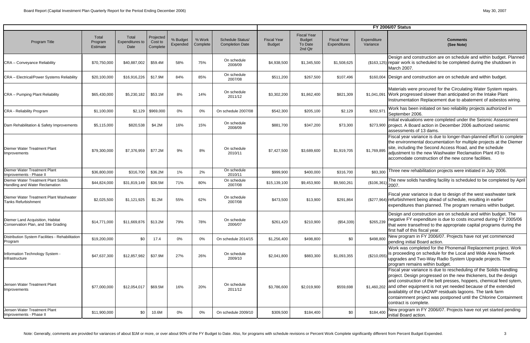Design and construction are on schedule and within budget. Planned repair work is scheduled to be completed during the shutdown in March 2007.

#### **Comments (See Note)**

## **FY 2006/07 Status**

Fiscal year variance is due to longer-than-planned effort to complete the environmental documentation for multiple projects at the Diemer site, including the Second Access Road, and the schedule adjustment to the new Washwater Reclamation Plant #3 to accomodate construction of the new ozone facilities.

The new solids handling facility is scheduled to be completed by April 2007.

|                                                                              |                                     |                                  |                                  |                      |                    |                                                   |                                     |                                                           |                                    |                         | <b>FY 2006/07 Status</b>                                                                                                                                                                                                                                                                                                                                                                                                                      |
|------------------------------------------------------------------------------|-------------------------------------|----------------------------------|----------------------------------|----------------------|--------------------|---------------------------------------------------|-------------------------------------|-----------------------------------------------------------|------------------------------------|-------------------------|-----------------------------------------------------------------------------------------------------------------------------------------------------------------------------------------------------------------------------------------------------------------------------------------------------------------------------------------------------------------------------------------------------------------------------------------------|
| <b>Program Title</b>                                                         | Total<br>Program<br><b>Estimate</b> | Total<br>Expenditures to<br>Date | Projected<br>Cost to<br>Complete | % Budget<br>Expended | % Work<br>Complete | <b>Schedule Status/</b><br><b>Completion Date</b> | <b>Fiscal Year</b><br><b>Budget</b> | <b>Fiscal Year</b><br><b>Budget</b><br>To Date<br>2nd Qtr | <b>Fiscal Year</b><br>Expenditures | Expenditure<br>Variance | <b>Comments</b><br>(See Note)                                                                                                                                                                                                                                                                                                                                                                                                                 |
| <b>CRA - Conveyance Reliability</b>                                          | \$70,750,000                        | \$40,887,002                     | \$59.4M                          | 58%                  | 75%                | On schedule<br>2008/09                            | \$4,938,500                         | \$1,345,500                                               | \$1,508,625                        |                         | Design and construction are on schedule and within budget. Pla<br>(\$163,125) repair work is scheduled to be completed during the shutdown in<br>March 2007.                                                                                                                                                                                                                                                                                  |
| CRA - Electrical/Power Systems Reliability                                   | \$20,100,000                        | \$16,916,226                     | \$17.9M                          | 84%                  | 85%                | On schedule<br>2007/08                            | \$511,200                           | \$267,500                                                 | \$107,496                          |                         | \$160,004 Design and construction are on schedule and within budget.                                                                                                                                                                                                                                                                                                                                                                          |
| CRA - Pumping Plant Reliability                                              | \$65,430,000                        | \$5,230,182                      | \$53.1M                          | 8%                   | 14%                | On schedule<br>2011/12                            | \$3,302,200                         | \$1,862,400                                               | \$821,309                          | \$1,041,091             | Materials were procured for the Circulating Water System repair<br>Work progressed slower than anticipated on the Intake Plant<br>Instrumentation Replacement due to abatement of asbestos wiri                                                                                                                                                                                                                                               |
| CRA - Reliability Program                                                    | \$1,100,000                         |                                  | $$2,129$ \$969,000               | 0%                   | $0\%$              | On schedule 2007/08                               | \$542,300                           | \$205,100                                                 | \$2,129                            | \$202,971               | Work has been initiated on two reliability projects authorized in<br>September 2006.                                                                                                                                                                                                                                                                                                                                                          |
| Dam Rehabilitation & Safety Improvements                                     | \$5,115,000                         | \$820,538                        | \$4.2M                           | 16%                  | 15%                | On schedule<br>2008/09                            | \$881,700                           | \$347,200                                                 | \$73,300                           |                         | Initial evaluations were completed under the Seismic Assessmer<br>\$273,900 project. A Board action in December 2006 authorized seismic<br>assessments of 13 dams.                                                                                                                                                                                                                                                                            |
| <b>Diemer Water Treatment Plant</b><br>mprovements                           | \$79,300,000                        | \$7,376,959                      | \$77.2M                          | 9%                   | 8%                 | On schedule<br>2010/11                            | \$7,427,500                         | \$3,689,600                                               | \$1,919,705                        | \$1,769,895             | Fiscal year variance is due to longer-than-planned effort to comp<br>the environmental documentation for multiple projects at the Die<br>site, including the Second Access Road, and the schedule<br>adjustment to the new Washwater Reclamation Plant #3 to<br>accomodate construction of the new ozone facilities.                                                                                                                          |
| Diemer Water Treatment Plant<br>Improvements - Phase II                      | \$36,800,000                        | \$316,700                        | \$36.2M                          | 1%                   | 2%                 | On schedule<br>2010/11                            | \$999,900                           | \$400,000                                                 | \$316,700                          | \$83,300                | Three new rehabilitation projects were initiated in July 2006.                                                                                                                                                                                                                                                                                                                                                                                |
| <b>Diemer Water Treatment Plant Solids</b><br>Handling and Water Reclamation | \$44,824,000                        | \$31,819,149                     | \$36.5M                          | 71%                  | 80%                | On schedule<br>2007/08                            | \$15,139,100                        | \$9,453,900                                               | \$9,560,261                        | (\$106,361)             | The new solids handling facility is scheduled to be completed by<br>2007.                                                                                                                                                                                                                                                                                                                                                                     |
| Diemer Water Treatment Plant Washwater<br><b>Tanks Refurbishment</b>         | \$2,025,500                         | \$1,121,925                      | \$1.2M                           | 55%                  | 62%                | On schedule<br>2007/08                            | \$473,500                           | \$13,900                                                  | \$291,864                          |                         | Fiscal year variance is due to design of the west washwater tank<br>(\$277,964) refurbishment being ahead of schedule, resulting in earlier<br>expenditures than planned. The program remains within budget.                                                                                                                                                                                                                                  |
| Diemer Land Acquisition, Habitat<br>Conservation Plan, and Site Grading      | \$14,771,000                        | \$11,669,876                     | \$13.2M                          | 79%                  | 78%                | On schedule<br>2006/07                            | \$261,420                           | \$210,900                                                 | (\$54,339)                         | \$265,239               | Design and construction are on schedule and within budget. The<br>negative FY expenditure is due to costs incurred during FY 2005<br>that were transefrred to the appropriate capital programs during<br>first half of this fiscal year.                                                                                                                                                                                                      |
| Distribution System Facilities - Rehabilitation<br>Program                   | \$19,200,000                        | \$0                              | 17.4                             | 0%                   | 0%                 | On schedule 2014/15                               | \$1,256,400                         | \$498,800                                                 | \$0                                | \$498,800               | New program in FY 2006/07. Projects have not yet commenced<br>pending initial Board action.                                                                                                                                                                                                                                                                                                                                                   |
| Information Technology System -<br>Infrastructure                            | \$47,637,300                        | \$12,857,982                     | \$37.9M                          | 27%                  | 26%                | On schedule<br>2009/10                            | \$2,041,800                         | \$883,300                                                 | \$1,093,355                        | (\$210,055)             | Work was completed for the Phonemail Replacement project. W<br>is proceeding on schedule for the Local and Wide Area Network<br>upgrades and Two-Way Radio System Upgrade projects. The<br>program remains within budget.                                                                                                                                                                                                                     |
| Jensen Water Treatment Plant<br>Improvements                                 | \$77,000,000                        | \$12,054,017                     | \$69.5M                          | 16%                  | 20%                | On schedule<br>2011/12                            | \$3,786,600                         | \$2,019,900                                               | \$559,698                          |                         | Fiscal year variance is due to rescheduling of the Solids Handlin<br>project. Design progressed on the new thickeners, but the desig<br>and construction of the belt presses, hoppers, chemical feed syt<br>\$1,460,202 and other equipment is not yet needed because of the extended<br>availablity of the LADWP residuals lagoons. The tank farm<br>containmnent project was postponed until the Chlorine Containn<br>contract is complete. |
| Jensen Water Treatment Plant<br>Improvements - Phase II                      | \$11,900,000                        | \$0                              | 10.6M                            | 0%                   | 0%                 | On schedule 2009/10                               | \$309,500                           | \$184,400                                                 | \$0                                | \$184,400               | New program in FY 2006/07. Projects have not yet started pend<br>initial Board action.                                                                                                                                                                                                                                                                                                                                                        |

Design and construction are on schedule and within budget. The negative FY expenditure is due to costs incurred during FY 2005/06 that were transefrred to the appropriate capital programs during the first half of this fiscal year.

Work was completed for the Phonemail Replacement project. Work is proceeding on schedule for the Local and Wide Area Network upgrades and Two-Way Radio System Upgrade projects. The program remains within budget.

Fiscal year variance is due to rescheduling of the Solids Handling project. Design progressed on the new thickeners, but the design and construction of the belt presses, hoppers, chemical feed sytem, and other equipment is not yet needed because of the extended availablity of the LADWP residuals lagoons. The tank farm containmnent project was postponed until the Chlorine Containment contract is complete.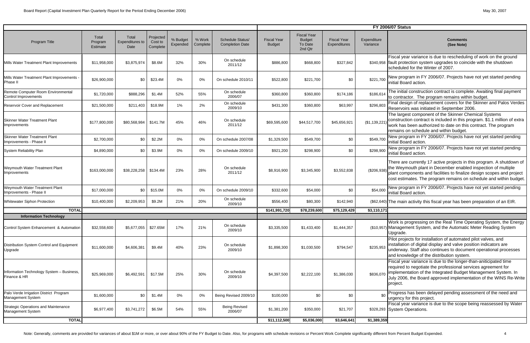# **FY 2006/07 Status**

|                                                                          |                                     |                                         |                                  |                      |                    |                                            |                                     |                                                           |                                    |                         | <b>FY 2006/07 Status</b>                                                                                                                                                                                                                                                                        |
|--------------------------------------------------------------------------|-------------------------------------|-----------------------------------------|----------------------------------|----------------------|--------------------|--------------------------------------------|-------------------------------------|-----------------------------------------------------------|------------------------------------|-------------------------|-------------------------------------------------------------------------------------------------------------------------------------------------------------------------------------------------------------------------------------------------------------------------------------------------|
| Program Title                                                            | Total<br>Program<br><b>Estimate</b> | Total<br><b>Expenditures to</b><br>Date | Projected<br>Cost to<br>Complete | % Budget<br>Expended | % Work<br>Complete | Schedule Status/<br><b>Completion Date</b> | <b>Fiscal Year</b><br><b>Budget</b> | <b>Fiscal Year</b><br><b>Budget</b><br>To Date<br>2nd Qtr | <b>Fiscal Year</b><br>Expenditures | Expenditure<br>Variance | <b>Comments</b><br>(See Note)                                                                                                                                                                                                                                                                   |
| Mills Water Treatment Plant Improvements                                 | \$11,958,000                        | \$3,875,974                             | \$8.6M                           | 32%                  | 30%                | On schedule<br>2011/12                     | \$886,800                           | \$668,800                                                 | \$327,842                          |                         | Fiscal year variance is due to rescheduling of work on the ground<br>\$340,958 fault protection system upgrades to coincide with the shutdown<br>scheduled for the Winter of 2007.                                                                                                              |
| Mills Water Treatment Plant Improvements -<br>Phase II                   | \$26,900,000                        | \$0                                     | \$23.4M                          | 0%                   | 0%                 | On schedule 2010/11                        | \$522,800                           | \$221,700                                                 | \$0                                | \$221,700               | New program in FY 2006/07. Projects have not yet started pending<br>initial Board action.                                                                                                                                                                                                       |
| Remote Computer Room Environmental<br>Control Improvements               | \$1,720,000                         | \$888,296                               | \$1.4M                           | 52%                  | 55%                | On schedule<br>2006/07                     | \$360,800                           | \$360,800                                                 | \$174,186                          | \$186,614               | The initial construction contract is complete. Awaiting final payment<br>to contractor. The program remains within budget.                                                                                                                                                                      |
| Reservoir Cover and Replacement                                          | \$21,500,000                        | \$211,403                               | \$18.9M                          | $1\%$                | 2%                 | On schedule<br>2009/10                     | \$431,300                           | \$360,800                                                 | \$63,997                           | \$296,803               | Final design of replacement covers for the Skinner and Palos Verdes<br>Reservoirs was initiated in September 2006.                                                                                                                                                                              |
| <b>Skinner Water Treatment Plant</b><br>Improvements                     | \$177,800,000                       | \$80,568,984                            | \$141.7M                         | 45%                  | 46%                | On schedule<br>2011/12                     | \$69,595,600                        | \$44,517,700                                              | \$45,656,921                       | (\$1,139,221)           | The largest component of the Skinner Chemical Systems<br>construction contract is included in this program. \$1.1 million of extra<br>work has been authorized to date on this contract. The program<br>remains on schedule and within budget.                                                  |
| <b>Skinner Water Treatment Plant</b><br>Improvements - Phase II          | \$2,700,000                         | \$0                                     | \$2.2M                           | 0%                   | 0%                 | On schedule 2007/08                        | \$1,329,500                         | \$549,700                                                 | \$0                                | \$549,700               | New program in FY 2006/07. Projects have not yet started pending<br>initial Board action.                                                                                                                                                                                                       |
| <b>System Reliability Plan</b>                                           | \$4,890,000                         | \$0                                     | \$3.9M                           | 0%                   | 0%                 | On schedule 2009/10                        | \$921,200                           | \$298,900                                                 | \$0                                | \$298,900               | New program in FY 2006/07. Projects have not yet started pending<br>initial Board action.                                                                                                                                                                                                       |
| Weymouth Water Treatment Plant<br>Improvements                           | \$163,000,000                       | \$38,228,258                            | \$134.4M                         | 23%                  | 28%                | On schedule<br>2011/12                     | \$8,916,900                         | \$3,345,900                                               | \$3,552,838                        | (\$206,938)             | There are currently 17 active projects in this program. A shutdown of<br>the Weymouth plant in December enabled inspection of multiple<br>plant components and facilities to finalize design scopes and project<br>cost estimates. The program remains on schedule and within budget            |
| Weymouth Water Treatment Plant<br>Improvements - Phase II                | \$17,000,000                        | \$0                                     | \$15.0M                          | 0%                   | 0%                 | On schedule 2009/10                        | \$332,600                           | \$54,000                                                  | \$0                                | \$54,000                | New program in FY 2006/07. Projects have not yet started pending<br>initial Board action.                                                                                                                                                                                                       |
| <b>Whitewater Siphon Protection</b>                                      | \$10,400,000                        | \$2,209,953                             | \$9.2M                           | 21%                  | 20%                | On schedule<br>2009/10                     | \$556,400                           | \$80,300                                                  | \$142,940                          |                         | (\$62,640) The main activity this fiscal year has been preparation of an EIR.                                                                                                                                                                                                                   |
| <b>TOTAL</b>                                                             |                                     |                                         |                                  |                      |                    |                                            | \$141,991,720                       | \$78,239,600                                              | \$75,129,429                       | \$3,110,171             |                                                                                                                                                                                                                                                                                                 |
| <b>Information Technology</b><br>Control System Enhancement & Automation | \$32,558,600                        | \$5,677,055                             | \$27.65M                         | 17%                  | 21%                | On schedule<br>2009/10                     | \$3,335,500                         | \$1,433,400                                               | \$1,444,357                        |                         | Work is progressing on the Real Time Operating System, the Energy<br>(\$10,957) Management System, and the Automatic Meter Reading System<br>Upgrade.                                                                                                                                           |
| Distribution System Control and Equipment<br>Upgrade                     | \$11,600,000                        | \$4,606,381                             | \$9.4M                           | 40%                  | 23%                | On schedule<br>2009/10                     | \$1,898,300                         | \$1,030,500                                               | \$794,547                          | \$235,953               | Pilot projects for installation of automated pilot valves, and<br>installation of digital display and valve position indicators are<br>underway. Staff also continues to document operational processes<br>and knowledge of the distribution system.                                            |
| Information Technology System - Business,<br>Finance & HR                | \$25,969,000                        | \$6,492,591                             | \$17.5M                          | 25%                  | 30%                | On schedule<br>2009/10                     | \$4,397,500                         | \$2,222,100                                               | \$1,386,030                        |                         | Fiscal year variance is due to the longer-than-aniticipated time<br>required to negotiate the professional services agreement for<br>\$836,070   implementation of the Integrated Budget Management System. In<br>July 2006, the Board approved implementation of the WINS Re-Write<br>project. |
| Palo Verde Irrigation District Program<br>Management System              | \$1,600,000                         | \$0                                     | \$1.4M                           | 0%                   | 0%                 | Being Revised 2009/10                      | \$100,000                           | \$0                                                       | \$0                                | \$0                     | Progress has been delayed pending assessment of the need and<br>urgency for this project.                                                                                                                                                                                                       |
| <b>Strategic Operations and Maintenance</b><br>Management System         | \$6,977,400                         | \$3,741,272                             | \$6.5M                           | 54%                  | 55%                | <b>Being Revised</b><br>2006/07            | \$1,381,200                         | \$350,000                                                 | \$21,707                           |                         | Fiscal year variance is due to the scope being reassessed by Water<br>\$328,293 System Operations.                                                                                                                                                                                              |
| <b>TOTAL</b>                                                             |                                     |                                         |                                  |                      |                    |                                            | \$11,112,500                        | \$5,036,000                                               | \$3,646,641                        | \$1,389,359             |                                                                                                                                                                                                                                                                                                 |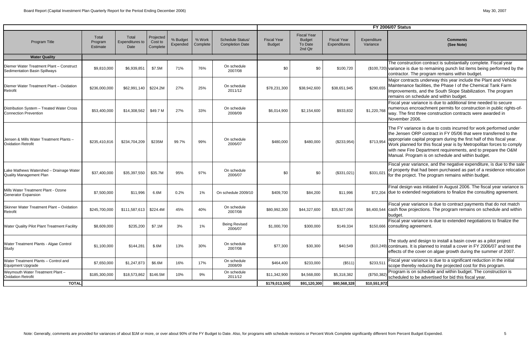|                                                                           |                              |                                         |                                  |                      |                    |                                                   |                                     |                                                           |                                    |                         | <b>FY 2006/07 Status</b>                                                                                                                                                                                                                                                                                                                                                                                       |
|---------------------------------------------------------------------------|------------------------------|-----------------------------------------|----------------------------------|----------------------|--------------------|---------------------------------------------------|-------------------------------------|-----------------------------------------------------------|------------------------------------|-------------------------|----------------------------------------------------------------------------------------------------------------------------------------------------------------------------------------------------------------------------------------------------------------------------------------------------------------------------------------------------------------------------------------------------------------|
| <b>Program Title</b>                                                      | Total<br>Program<br>Estimate | Total<br><b>Expenditures to</b><br>Date | Projected<br>Cost to<br>Complete | % Budget<br>Expended | % Work<br>Complete | <b>Schedule Status/</b><br><b>Completion Date</b> | <b>Fiscal Year</b><br><b>Budget</b> | <b>Fiscal Year</b><br><b>Budget</b><br>To Date<br>2nd Qtr | <b>Fiscal Year</b><br>Expenditures | Expenditure<br>Variance | <b>Comments</b><br>(See Note)                                                                                                                                                                                                                                                                                                                                                                                  |
| <b>Water Quality</b>                                                      |                              |                                         |                                  |                      |                    |                                                   |                                     |                                                           |                                    |                         |                                                                                                                                                                                                                                                                                                                                                                                                                |
| Diemer Water Treatment Plant - Construct<br>Sedimentation Basin Spillways | \$9,810,000                  | \$6,939,851                             | \$7.5M                           | 71%                  | 76%                | On schedule<br>2007/08                            | \$0                                 | \$0                                                       | \$100,720                          |                         | The construction contract is substantially complete. Fiscal year<br>(\$100,720) variance is due to remaining punch list items being performed by the<br>contractor. The program remains within budget.                                                                                                                                                                                                         |
| Diemer Water Treatment Plant - Oxidation<br>Retrofit                      | \$236,000,000                | \$62,991,140                            | \$224.2M                         | 27%                  | 25%                | On schedule<br>2011/12                            | \$78,231,300                        | \$38,942,600                                              | \$38,651,945                       | \$290,655               | Major contracts underway this year include the Plant and Vehicle<br>Maintenance facilities, the Phase I of the Chemical Tank Farm<br>Improvements, and the South Slope Stabilization. The program<br>remains on schedule and within budget.                                                                                                                                                                    |
| Distribution System - Treated Water Cross<br><b>Connection Prevention</b> | \$53,400,000                 | \$14,308,562                            | \$49.7 M                         | 27%                  | 33%                | On schedule<br>2008/09                            | \$6,014,900                         | \$2,154,600                                               | \$933,832                          | \$1,220,768             | Fiscal year variance is due to additional time needed to secure<br>numerous encroachment permits for construction in public rights-of-<br>way. The first three construction contracts were awarded in<br>November 2006.                                                                                                                                                                                        |
| Jensen & Mills Water Treatment Plants -<br><b>Oxidation Retrofit</b>      | \$235,410,816                | \$234,704,209                           | \$235M                           | 99.7%                | 99%                | On schedule<br>2006/07                            | \$480,000                           | \$480,000                                                 | (\$233,954)                        | \$713,954               | The FY variance is due to costs incurred for work performed under<br>the Jensen ORP contract in FY 05/06 that were transferred to the<br>appropriate capital program during the first half of this fiscal year.<br>Work planned for this fiscal year is by Metropolitan forces to comply<br>with new Fire Department requirements, and to prepare the O&M<br>Manual. Program is on schedule and within budget. |
| Lake Mathews Watershed - Drainage Water<br><b>Quality Management Plan</b> | \$37,400,000                 | \$35,397,550                            | \$35.7M                          | 95%                  | 97%                | On schedule<br>2006/07                            | \$0                                 | \$0                                                       | (\$331,021)                        | \$331,021               | Fiscal year variance, and the negative expenditure, is due to the sale<br>of property that had been purchased as part of a residence relocation<br>for the project. The program remains within budget.                                                                                                                                                                                                         |
| Mills Water Treatment Plant - Ozone<br>Generator Expansion                | \$7,500,000                  | \$11,996                                | 6.6M                             | 0.2%                 | 1%                 | On schedule 2009/10                               | \$409,700                           | \$84,200                                                  | \$11,996                           |                         | Final design was initiated in August 2006. The fiscal year variance is<br>\$72,204 due to extended negotiations to finalize the consulting agreement.                                                                                                                                                                                                                                                          |
| Skinner Water Treatment Plant - Oxidation<br>Retrofit                     | \$245,700,000                | \$111,587,613                           | \$224.4M                         | 45%                  | 40%                | On schedule<br>2007/08                            | \$80,992,300                        | \$44,327,600                                              | \$35,927,056                       |                         | Fiscal year variance is due to contract payments that do not match<br>\$8,400,544 cash flow projections. The program remains on schedule and within<br>budget.                                                                                                                                                                                                                                                 |
| Water Quality Pilot Plant Treatment Facility                              | \$8,609,000                  | \$235,200                               | \$7.1M                           | 3%                   | $1\%$              | <b>Being Revised</b><br>2006/07                   | \$1,000,700                         | \$300,000                                                 | \$149,334                          |                         | Fiscal year variance is due to extended negotiations to finalize the<br>\$150,666 consulting agreement.                                                                                                                                                                                                                                                                                                        |
| Water Treatment Plants - Algae Control<br>Study                           | \$1,100,000                  | \$144,281                               | \$.6M                            | 13%                  | 30%                | On schedule<br>2007/08                            | \$77,300                            | \$30,300                                                  | \$40,549                           |                         | The study and design to install a basin cover as a pilot project<br>(\$10,249) continues. It is planned to install a cover in FY 2006/07 and test the<br>effects of the cover on algae growth during the summer of 2007.                                                                                                                                                                                       |
| Water Treatment Plants - Control and<br><b>Equipment Upgrade</b>          | \$7,650,000                  | \$1,247,873                             | \$6.6M                           | 16%                  | 17%                | On schedule<br>2008/09                            | \$464,400                           | \$233,000                                                 | (\$511)                            | \$233,511               | Fiscal year variance is due to a significant reduction in the initial<br>scope thereby reducing the projected cost for this program.                                                                                                                                                                                                                                                                           |
| Weymouth Water Treatment Plant -<br><b>Oxidation Retrofit</b>             | \$185,300,000                | $$18,573,862$ \$146.5M                  |                                  | 10%                  | $9\%$              | On schedule<br>2011/12                            | \$11,342,900                        | \$4,568,000                                               | \$5,318,382                        | (\$750,382)             | Program is on schedule and within budget. The construction is<br>scheduled to be advertised for bid this fiscal year.                                                                                                                                                                                                                                                                                          |
| <b>TOTAL</b>                                                              |                              |                                         |                                  |                      |                    |                                                   | \$179,013,500                       | \$91,120,300                                              | \$80,568,328                       | \$10,551,972            |                                                                                                                                                                                                                                                                                                                                                                                                                |

# **6/07 Status**